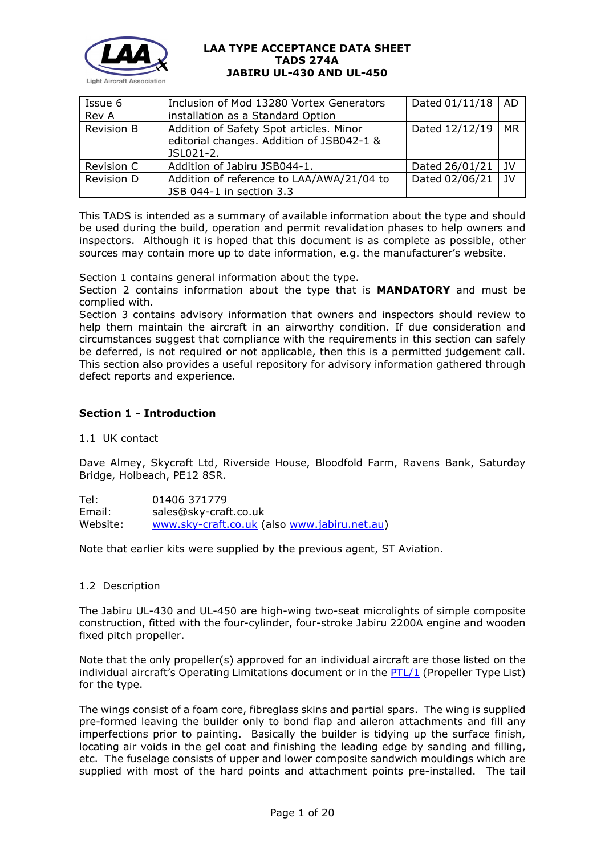

| Issue 6           | Dated $01/11/18$   AD<br>Inclusion of Mod 13280 Vortex Generators                                 |                |                 |
|-------------------|---------------------------------------------------------------------------------------------------|----------------|-----------------|
| Rev A             | installation as a Standard Option                                                                 |                |                 |
| <b>Revision B</b> | Addition of Safety Spot articles. Minor<br>editorial changes. Addition of JSB042-1 &<br>JSL021-2. | Dated 12/12/19 | MR              |
| Revision C        | Addition of Jabiru JSB044-1.                                                                      | Dated 26/01/21 | - JV            |
| Revision D        | Addition of reference to LAA/AWA/21/04 to<br>JSB 044-1 in section 3.3                             | Dated 02/06/21 | $\overline{1}V$ |

This TADS is intended as a summary of available information about the type and should be used during the build, operation and permit revalidation phases to help owners and inspectors. Although it is hoped that this document is as complete as possible, other sources may contain more up to date information, e.g. the manufacturer's website.

Section 1 contains general information about the type.

Section 2 contains information about the type that is **MANDATORY** and must be complied with.

Section 3 contains advisory information that owners and inspectors should review to help them maintain the aircraft in an airworthy condition. If due consideration and circumstances suggest that compliance with the requirements in this section can safely be deferred, is not required or not applicable, then this is a permitted judgement call. This section also provides a useful repository for advisory information gathered through defect reports and experience.

### **Section 1 - Introduction**

### 1.1 UK contact

Dave Almey, Skycraft Ltd, Riverside House, Bloodfold Farm, Ravens Bank, Saturday Bridge, Holbeach, PE12 8SR.

Tel: 01406 371779 Email: sales@sky-craft.co.uk Website: [www.sky-craft.co.uk](http://www.sky-craft.co.uk/) (also [www.jabiru.net.au\)](http://www.jabiru.net.au/)

Note that earlier kits were supplied by the previous agent, ST Aviation.

### 1.2 Description

The Jabiru UL-430 and UL-450 are high-wing two-seat microlights of simple composite construction, fitted with the four-cylinder, four-stroke Jabiru 2200A engine and wooden fixed pitch propeller.

Note that the only propeller(s) approved for an individual aircraft are those listed on the individual aircraft's Operating Limitations document or in the [PTL/1](http://www.lightaircraftassociation.co.uk/engineering/NewMods/PTL.html) (Propeller Type List) for the type.

The wings consist of a foam core, fibreglass skins and partial spars. The wing is supplied pre-formed leaving the builder only to bond flap and aileron attachments and fill any imperfections prior to painting. Basically the builder is tidying up the surface finish, locating air voids in the gel coat and finishing the leading edge by sanding and filling, etc. The fuselage consists of upper and lower composite sandwich mouldings which are supplied with most of the hard points and attachment points pre-installed. The tail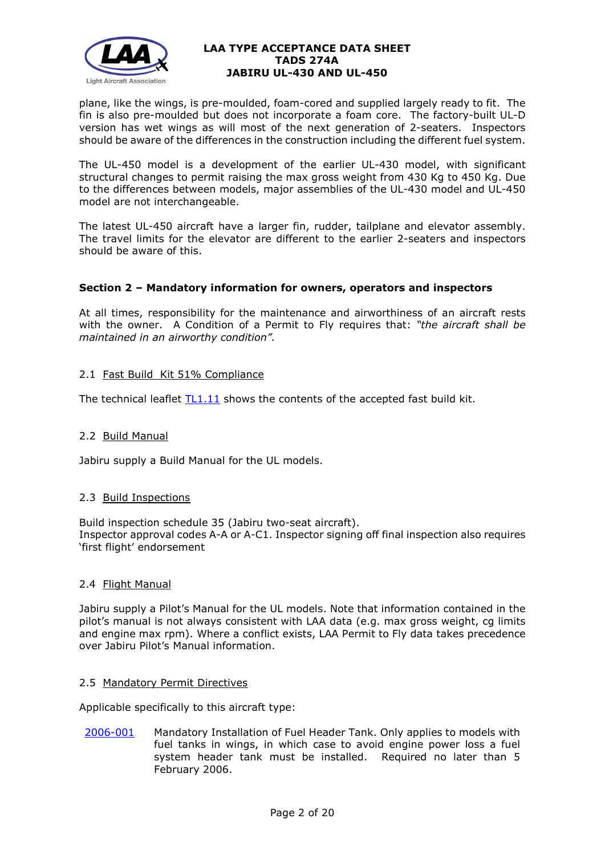

plane, like the wings, is pre-moulded, foam-cored and supplied largely ready to fit. The fin is also pre-moulded but does not incorporate a foam core. The factory-built UL-D version has wet wings as will most of the next generation of 2-seaters. Inspectors should be aware of the differences in the construction including the different fuel system.

The UL-450 model is a development of the earlier UL-430 model, with significant structural changes to permit raising the max gross weight from 430 Kg to 450 Kg. Due to the differences between models, major assemblies of the UL-430 model and UL-450 model are not interchangeable.

The latest UL-450 aircraft have a larger fin, rudder, tailplane and elevator assembly. The travel limits for the elevator are different to the earlier 2-seaters and inspectors should be aware of this.

## **Section 2 – Mandatory information for owners, operators and inspectors**

At all times, responsibility for the maintenance and airworthiness of an aircraft rests with the owner. A Condition of a Permit to Fly requires that: *"the aircraft shall be maintained in an airworthy condition".* 

## 2.1 Fast Build Kit 51% Compliance

The technical leaflet  $TL1.11$  shows the contents of the accepted fast build kit.

### 2.2 Build Manual

Jabiru supply a Build Manual for the UL models.

### 2.3 Build Inspections

Build inspection schedule 35 (Jabiru two-seat aircraft). Inspector approval codes A-A or A-C1. Inspector signing off final inspection also requires 'first flight' endorsement

### 2.4 Flight Manual

Jabiru supply a Pilot's Manual for the UL models. Note that information contained in the pilot's manual is not always consistent with LAA data (e.g. max gross weight, cg limits and engine max rpm). Where a conflict exists, LAA Permit to Fly data takes precedence over Jabiru Pilot's Manual information.

### 2.5 Mandatory Permit Directives

Applicable specifically to this aircraft type:

[2006-001](http://www.lightaircraftassociation.co.uk/engineering/TADs/274A/MPD2006-001.pdf) Mandatory Installation of Fuel Header Tank. Only applies to models with fuel tanks in wings, in which case to avoid engine power loss a fuel system header tank must be installed. Required no later than 5 February 2006.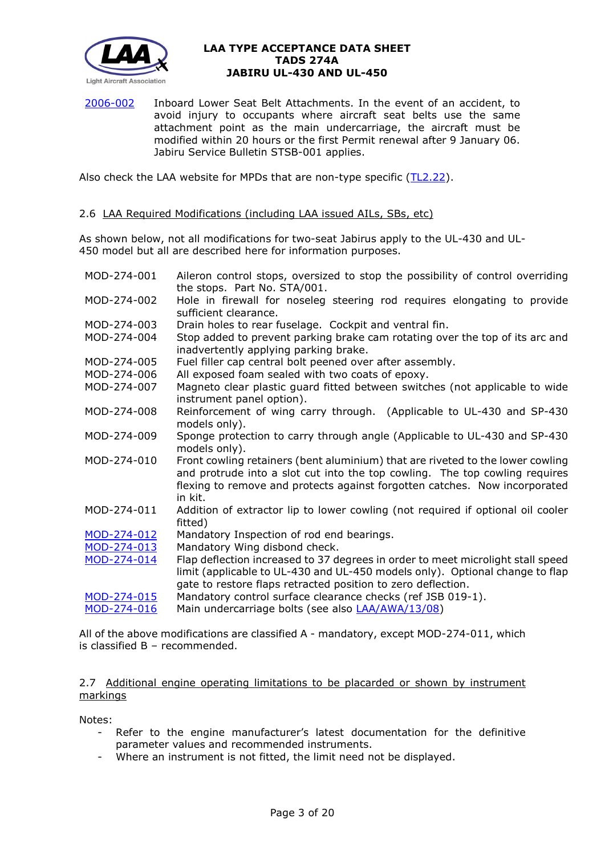

[2006-002](http://www.lightaircraftassociation.co.uk/engineering/TADs/274A/MPD2006-002.pdf) Inboard Lower Seat Belt Attachments. In the event of an accident, to avoid injury to occupants where aircraft seat belts use the same attachment point as the main undercarriage, the aircraft must be modified within 20 hours or the first Permit renewal after 9 January 06. Jabiru Service Bulletin STSB-001 applies.

Also check the LAA website for MPDs that are non-type specific [\(TL2.22\)](http://www.lightaircraftassociation.co.uk/engineering/TechnicalLeaflets/Operating%20An%20Aircraft/TL%202.22%20non-type%20specific%20MPDs.pdf).

### 2.6 LAA Required Modifications (including LAA issued AILs, SBs, etc)

As shown below, not all modifications for two-seat Jabirus apply to the UL-430 and UL-450 model but all are described here for information purposes.

| MOD-274-001 | Aileron control stops, oversized to stop the possibility of control overriding<br>the stops. Part No. STA/001.                                                  |
|-------------|-----------------------------------------------------------------------------------------------------------------------------------------------------------------|
| MOD-274-002 | Hole in firewall for noseleg steering rod requires elongating to provide                                                                                        |
|             | sufficient clearance.                                                                                                                                           |
| MOD-274-003 | Drain holes to rear fuselage. Cockpit and ventral fin.                                                                                                          |
| MOD-274-004 | Stop added to prevent parking brake cam rotating over the top of its arc and<br>inadvertently applying parking brake.                                           |
| MOD-274-005 | Fuel filler cap central bolt peened over after assembly.                                                                                                        |
| MOD-274-006 | All exposed foam sealed with two coats of epoxy.                                                                                                                |
| MOD-274-007 | Magneto clear plastic guard fitted between switches (not applicable to wide<br>instrument panel option).                                                        |
| MOD-274-008 | Reinforcement of wing carry through. (Applicable to UL-430 and SP-430<br>models only).                                                                          |
| MOD-274-009 | Sponge protection to carry through angle (Applicable to UL-430 and SP-430<br>models only).                                                                      |
| MOD-274-010 | Front cowling retainers (bent aluminium) that are riveted to the lower cowling<br>and protrude into a slot cut into the top cowling. The top cowling requires   |
|             | flexing to remove and protects against forgotten catches. Now incorporated<br>in kit.                                                                           |
| MOD-274-011 | Addition of extractor lip to lower cowling (not required if optional oil cooler<br>fitted)                                                                      |
| MOD-274-012 | Mandatory Inspection of rod end bearings.                                                                                                                       |
| MOD-274-013 | Mandatory Wing disbond check.                                                                                                                                   |
| MOD-274-014 | Flap deflection increased to 37 degrees in order to meet microlight stall speed<br>limit (applicable to UL-430 and UL-450 models only). Optional change to flap |
| MOD-274-015 | gate to restore flaps retracted position to zero deflection.<br>Mandatory control surface clearance checks (ref JSB 019-1).                                     |
| MOD-274-016 | Main undercarriage bolts (see also LAA/AWA/13/08)                                                                                                               |
|             |                                                                                                                                                                 |

All of the above modifications are classified A - mandatory, except MOD-274-011, which is classified B – recommended.

### 2.7 Additional engine operating limitations to be placarded or shown by instrument markings

Notes:

- Refer to the engine manufacturer's latest documentation for the definitive parameter values and recommended instruments.
- Where an instrument is not fitted, the limit need not be displayed.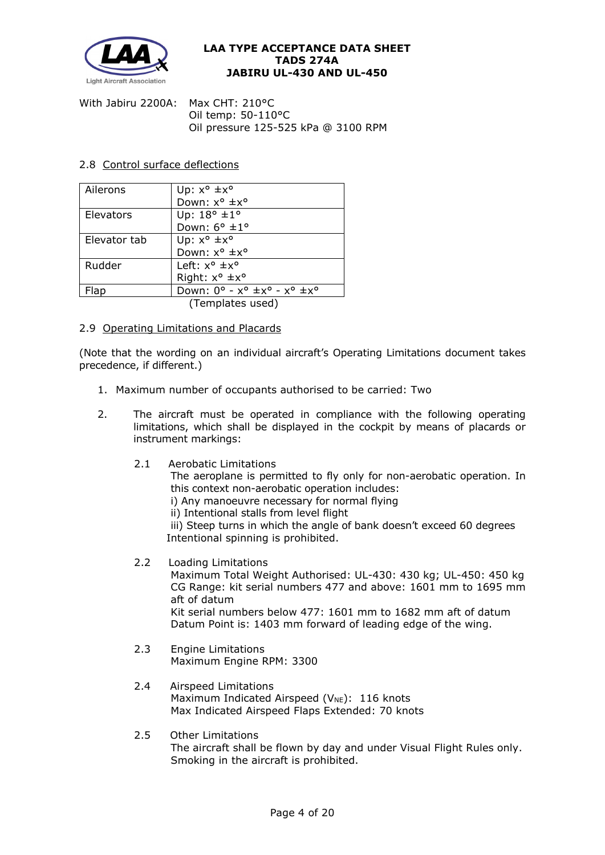

With Jabiru 2200A: Max CHT: 210°C Oil temp: 50-110°C Oil pressure 125-525 kPa @ 3100 RPM

### 2.8 Control surface deflections

| Ailerons     | Up: $x^{\circ}$ $\pm x^{\circ}$                                 |
|--------------|-----------------------------------------------------------------|
|              | Down: x° ±x°                                                    |
| Elevators    | Up: $18^{\circ}$ $\pm 1^{\circ}$                                |
|              | Down: $6^{\circ}$ ±1°                                           |
| Elevator tab | Up: $x^{\circ}$ $\pm x^{\circ}$                                 |
|              | Down: x° ±x°                                                    |
| Rudder       | Left: $x^{\circ}$ $\pm x^{\circ}$                               |
|              | Right: $x^{\circ}$ $\pm x^{\circ}$                              |
| Flap         | Down: $0^\circ$ - $x^\circ \pm x^\circ$ - $x^\circ \pm x^\circ$ |
|              | (Templates used)                                                |

2.9 Operating Limitations and Placards

(Note that the wording on an individual aircraft's Operating Limitations document takes precedence, if different.)

- 1. Maximum number of occupants authorised to be carried: Two
- 2. The aircraft must be operated in compliance with the following operating limitations, which shall be displayed in the cockpit by means of placards or instrument markings:
	- 2.1 Aerobatic Limitations

The aeroplane is permitted to fly only for non-aerobatic operation. In this context non-aerobatic operation includes:

- i) Any manoeuvre necessary for normal flying
- ii) Intentional stalls from level flight

iii) Steep turns in which the angle of bank doesn't exceed 60 degrees Intentional spinning is prohibited.

2.2 Loading Limitations

Maximum Total Weight Authorised: UL-430: 430 kg; UL-450: 450 kg CG Range: kit serial numbers 477 and above: 1601 mm to 1695 mm aft of datum Kit serial numbers below 477: 1601 mm to 1682 mm aft of datum

Datum Point is: 1403 mm forward of leading edge of the wing.

- 2.3 Engine Limitations Maximum Engine RPM: 3300
- 2.4 Airspeed Limitations Maximum Indicated Airspeed ( $V_{NE}$ ): 116 knots Max Indicated Airspeed Flaps Extended: 70 knots
- 2.5 Other Limitations The aircraft shall be flown by day and under Visual Flight Rules only. Smoking in the aircraft is prohibited.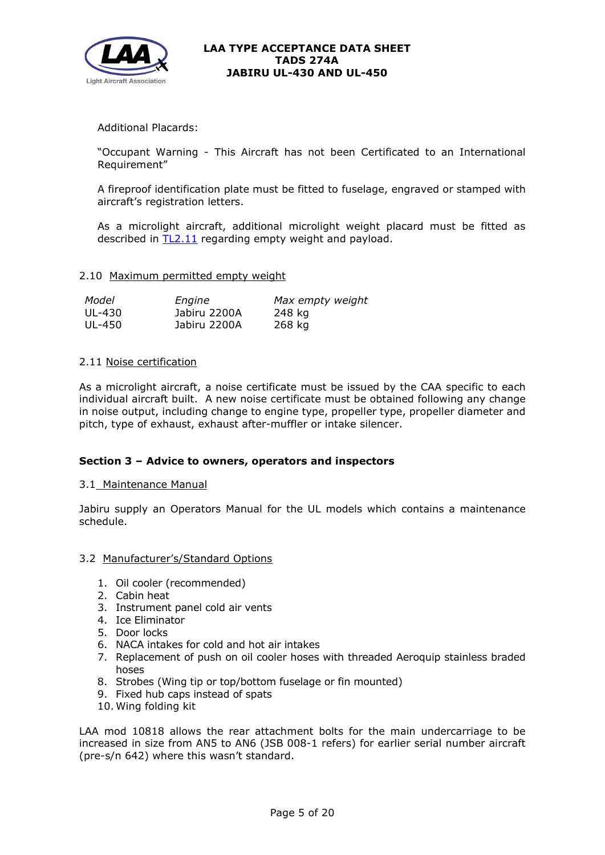

Additional Placards:

"Occupant Warning - This Aircraft has not been Certificated to an International Requirement"

A fireproof identification plate must be fitted to fuselage, engraved or stamped with aircraft's registration letters.

As a microlight aircraft, additional microlight weight placard must be fitted as described in [TL2.11](http://www.lightaircraftassociation.co.uk/engineering/TechnicalLeaflets/Operating%20An%20Aircraft/TL%202.11%20Placards%20and%20Labels.pdf) regarding empty weight and payload.

### 2.10 Maximum permitted empty weight

| Model  | Engine       | Max empty weight |
|--------|--------------|------------------|
| UL-430 | Jabiru 2200A | 248 kg           |
| UL-450 | Jabiru 2200A | 268 kg           |

## 2.11 Noise certification

As a microlight aircraft, a noise certificate must be issued by the CAA specific to each individual aircraft built. A new noise certificate must be obtained following any change in noise output, including change to engine type, propeller type, propeller diameter and pitch, type of exhaust, exhaust after-muffler or intake silencer.

### **Section 3 – Advice to owners, operators and inspectors**

### 3.1 Maintenance Manual

Jabiru supply an Operators Manual for the UL models which contains a maintenance schedule.

### 3.2 Manufacturer's/Standard Options

- 1. Oil cooler (recommended)
- 2. Cabin heat
- 3. Instrument panel cold air vents
- 4. Ice Eliminator
- 5. Door locks
- 6. NACA intakes for cold and hot air intakes
- 7. Replacement of push on oil cooler hoses with threaded Aeroquip stainless braded hoses
- 8. Strobes (Wing tip or top/bottom fuselage or fin mounted)
- 9. Fixed hub caps instead of spats
- 10. Wing folding kit

LAA mod 10818 allows the rear attachment bolts for the main undercarriage to be increased in size from AN5 to AN6 (JSB 008-1 refers) for earlier serial number aircraft (pre-s/n 642) where this wasn't standard.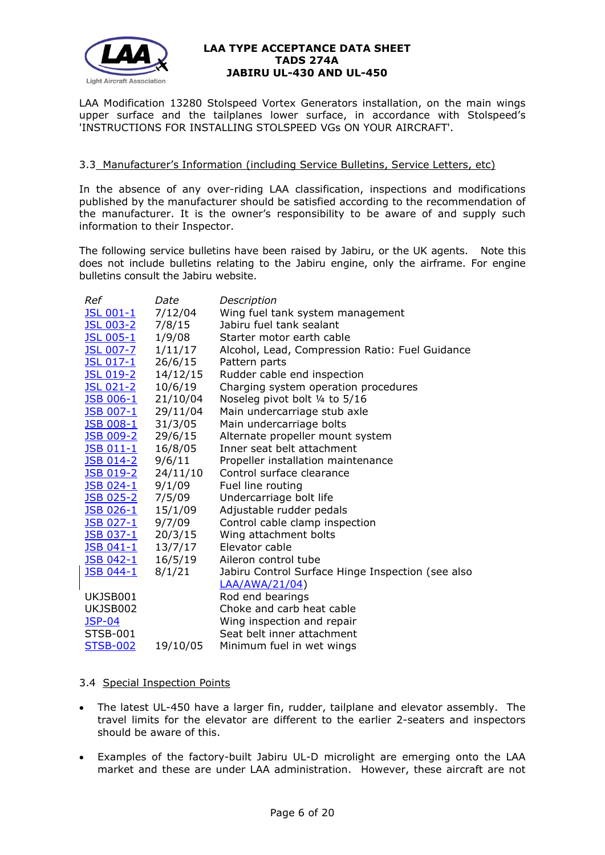

LAA Modification 13280 Stolspeed Vortex Generators installation, on the main wings upper surface and the tailplanes lower surface, in accordance with Stolspeed's 'INSTRUCTIONS FOR INSTALLING STOLSPEED VGs ON YOUR AIRCRAFT'.

## 3.3 Manufacturer's Information (including Service Bulletins, Service Letters, etc)

In the absence of any over-riding LAA classification, inspections and modifications published by the manufacturer should be satisfied according to the recommendation of the manufacturer. It is the owner's responsibility to be aware of and supply such information to their Inspector.

The following service bulletins have been raised by Jabiru, or the UK agents. Note this does not include bulletins relating to the Jabiru engine, only the airframe. For engine bulletins consult the Jabiru website.

| Ref               | Date     | Description                                       |
|-------------------|----------|---------------------------------------------------|
| JSL 001-1         | 7/12/04  | Wing fuel tank system management                  |
| <u>JSL 003-2</u>  | 7/8/15   | Jabiru fuel tank sealant                          |
| <b>JSL 005-1</b>  | 1/9/08   | Starter motor earth cable                         |
| <b>JSL 007-7</b>  | 1/11/17  | Alcohol, Lead, Compression Ratio: Fuel Guidance   |
| <u>JSL 017-1</u>  | 26/6/15  | Pattern parts                                     |
| <u> JSL 019-2</u> | 14/12/15 | Rudder cable end inspection                       |
| JSL 021-2         | 10/6/19  | Charging system operation procedures              |
| JSB 006-1         | 21/10/04 | Noseleg pivot bolt 1/4 to 5/16                    |
| <b>JSB 007-1</b>  | 29/11/04 | Main undercarriage stub axle                      |
| JSB 008-1         | 31/3/05  | Main undercarriage bolts                          |
| <b>JSB 009-2</b>  | 29/6/15  | Alternate propeller mount system                  |
| <u>JSB 011-1</u>  | 16/8/05  | Inner seat belt attachment                        |
| <u>JSB 014-2</u>  | 9/6/11   | Propeller installation maintenance                |
| <b>JSB 019-2</b>  | 24/11/10 | Control surface clearance                         |
| JSB 024-1         | 9/1/09   | Fuel line routing                                 |
| <u>JSB 025-2</u>  | 7/5/09   | Undercarriage bolt life                           |
| JSB 026-1         | 15/1/09  | Adjustable rudder pedals                          |
| JSB 027-1         | 9/7/09   | Control cable clamp inspection                    |
| <u>JSB 037-1</u>  | 20/3/15  | Wing attachment bolts                             |
| <u> JSB 041-1</u> | 13/7/17  | Elevator cable                                    |
| JSB 042-1         | 16/5/19  | Aileron control tube                              |
| JSB 044-1         | 8/1/21   | Jabiru Control Surface Hinge Inspection (see also |
|                   |          | <b>LAA/AWA/21/04)</b>                             |
| UKJSB001          |          | Rod end bearings                                  |
| UKJSB002          |          | Choke and carb heat cable                         |
| <b>JSP-04</b>     |          | Wing inspection and repair                        |
| <b>STSB-001</b>   |          | Seat belt inner attachment                        |
| <b>STSB-002</b>   | 19/10/05 | Minimum fuel in wet wings                         |

### 3.4 Special Inspection Points

- The latest UL-450 have a larger fin, rudder, tailplane and elevator assembly. The travel limits for the elevator are different to the earlier 2-seaters and inspectors should be aware of this.
- Examples of the factory-built Jabiru UL-D microlight are emerging onto the LAA market and these are under LAA administration. However, these aircraft are not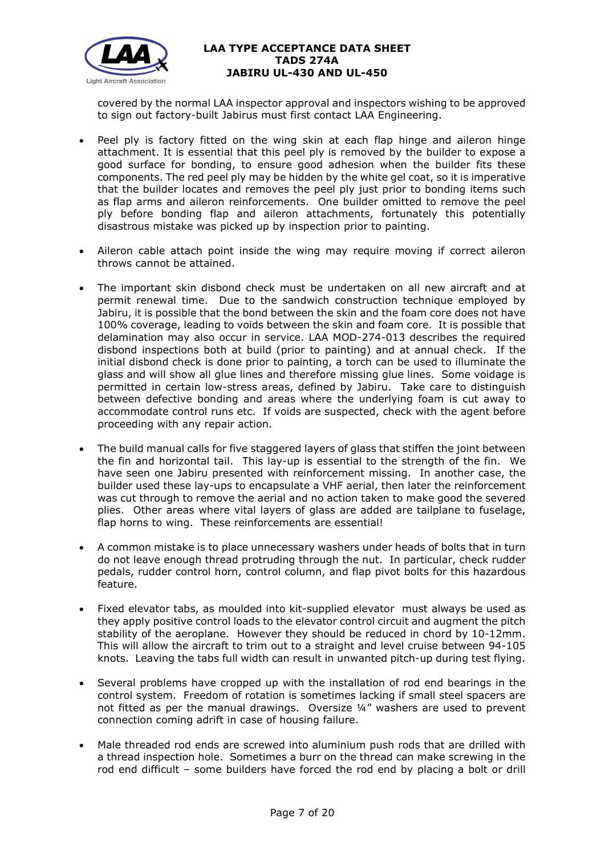

covered by the normal LAA inspector approval and inspectors wishing to be approved to sign out factory-built Jabirus must first contact LAA Engineering.

- Peel ply is factory fitted on the wing skin at each flap hinge and aileron hinge attachment. It is essential that this peel ply is removed by the builder to expose a good surface for bonding, to ensure good adhesion when the builder fits these components. The red peel ply may be hidden by the white gel coat, so it is imperative that the builder locates and removes the peel ply just prior to bonding items such as flap arms and aileron reinforcements. One builder omitted to remove the peel ply before bonding flap and aileron attachments, fortunately this potentially disastrous mistake was picked up by inspection prior to painting.
- Aileron cable attach point inside the wing may require moving if correct aileron throws cannot be attained.
- The important skin disbond check must be undertaken on all new aircraft and at permit renewal time. Due to the sandwich construction technique employed by Jabiru, it is possible that the bond between the skin and the foam core does not have 100% coverage, leading to voids between the skin and foam core. It is possible that delamination may also occur in service. LAA MOD-274-013 describes the required disbond inspections both at build (prior to painting) and at annual check. If the initial disbond check is done prior to painting, a torch can be used to illuminate the glass and will show all glue lines and therefore missing glue lines. Some voidage is permitted in certain low-stress areas, defined by Jabiru. Take care to distinguish between defective bonding and areas where the underlying foam is cut away to accommodate control runs etc. If voids are suspected, check with the agent before proceeding with any repair action.
- The build manual calls for five staggered layers of glass that stiffen the joint between the fin and horizontal tail. This lay-up is essential to the strength of the fin. We have seen one Jabiru presented with reinforcement missing. In another case, the builder used these lay-ups to encapsulate a VHF aerial, then later the reinforcement was cut through to remove the aerial and no action taken to make good the severed plies. Other areas where vital layers of glass are added are tailplane to fuselage, flap horns to wing. These reinforcements are essential!
- A common mistake is to place unnecessary washers under heads of bolts that in turn do not leave enough thread protruding through the nut. In particular, check rudder pedals, rudder control horn, control column, and flap pivot bolts for this hazardous feature.
- Fixed elevator tabs, as moulded into kit-supplied elevator must always be used as they apply positive control loads to the elevator control circuit and augment the pitch stability of the aeroplane. However they should be reduced in chord by 10-12mm. This will allow the aircraft to trim out to a straight and level cruise between 94-105 knots. Leaving the tabs full width can result in unwanted pitch-up during test flying.
- Several problems have cropped up with the installation of rod end bearings in the control system. Freedom of rotation is sometimes lacking if small steel spacers are not fitted as per the manual drawings. Oversize ¼" washers are used to prevent connection coming adrift in case of housing failure.
- Male threaded rod ends are screwed into aluminium push rods that are drilled with a thread inspection hole. Sometimes a burr on the thread can make screwing in the rod end difficult – some builders have forced the rod end by placing a bolt or drill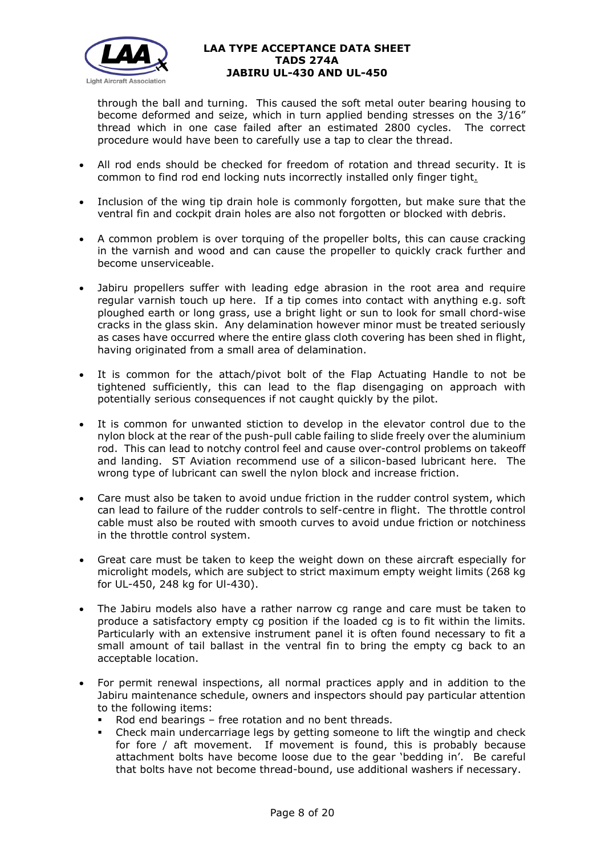

through the ball and turning. This caused the soft metal outer bearing housing to become deformed and seize, which in turn applied bending stresses on the 3/16" thread which in one case failed after an estimated 2800 cycles. The correct procedure would have been to carefully use a tap to clear the thread.

- All rod ends should be checked for freedom of rotation and thread security. It is common to find rod end locking nuts incorrectly installed only finger tight.
- Inclusion of the wing tip drain hole is commonly forgotten, but make sure that the ventral fin and cockpit drain holes are also not forgotten or blocked with debris.
- A common problem is over torquing of the propeller bolts, this can cause cracking in the varnish and wood and can cause the propeller to quickly crack further and become unserviceable.
- Jabiru propellers suffer with leading edge abrasion in the root area and require regular varnish touch up here. If a tip comes into contact with anything e.g. soft ploughed earth or long grass, use a bright light or sun to look for small chord-wise cracks in the glass skin. Any delamination however minor must be treated seriously as cases have occurred where the entire glass cloth covering has been shed in flight, having originated from a small area of delamination.
- It is common for the attach/pivot bolt of the Flap Actuating Handle to not be tightened sufficiently, this can lead to the flap disengaging on approach with potentially serious consequences if not caught quickly by the pilot.
- It is common for unwanted stiction to develop in the elevator control due to the nylon block at the rear of the push-pull cable failing to slide freely over the aluminium rod. This can lead to notchy control feel and cause over-control problems on takeoff and landing. ST Aviation recommend use of a silicon-based lubricant here. The wrong type of lubricant can swell the nylon block and increase friction.
- Care must also be taken to avoid undue friction in the rudder control system, which can lead to failure of the rudder controls to self-centre in flight. The throttle control cable must also be routed with smooth curves to avoid undue friction or notchiness in the throttle control system.
- Great care must be taken to keep the weight down on these aircraft especially for microlight models, which are subject to strict maximum empty weight limits (268 kg for UL-450, 248 kg for Ul-430).
- The Jabiru models also have a rather narrow cg range and care must be taken to produce a satisfactory empty cg position if the loaded cg is to fit within the limits. Particularly with an extensive instrument panel it is often found necessary to fit a small amount of tail ballast in the ventral fin to bring the empty cg back to an acceptable location.
- For permit renewal inspections, all normal practices apply and in addition to the Jabiru maintenance schedule, owners and inspectors should pay particular attention to the following items:
	- Rod end bearings free rotation and no bent threads.
	- Check main undercarriage legs by getting someone to lift the wingtip and check for fore / aft movement. If movement is found, this is probably because attachment bolts have become loose due to the gear 'bedding in'. Be careful that bolts have not become thread-bound, use additional washers if necessary.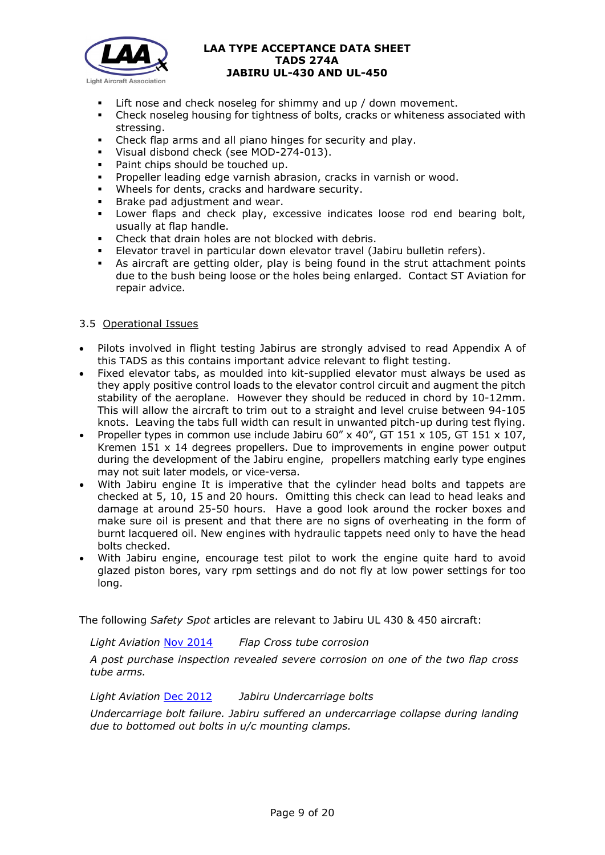

- Lift nose and check noseleg for shimmy and up / down movement.
- Check noseleg housing for tightness of bolts, cracks or whiteness associated with stressing.
- Check flap arms and all piano hinges for security and play.
- Visual disbond check (see MOD-274-013).
- Paint chips should be touched up.
- Propeller leading edge varnish abrasion, cracks in varnish or wood.
- Wheels for dents, cracks and hardware security.
- **Brake pad adjustment and wear.**
- Lower flaps and check play, excessive indicates loose rod end bearing bolt, usually at flap handle.
- Check that drain holes are not blocked with debris.
- Elevator travel in particular down elevator travel (Jabiru bulletin refers).
- As aircraft are getting older, play is being found in the strut attachment points due to the bush being loose or the holes being enlarged. Contact ST Aviation for repair advice.

## 3.5 Operational Issues

- Pilots involved in flight testing Jabirus are strongly advised to read Appendix A of this TADS as this contains important advice relevant to flight testing.
- Fixed elevator tabs, as moulded into kit-supplied elevator must always be used as they apply positive control loads to the elevator control circuit and augment the pitch stability of the aeroplane. However they should be reduced in chord by 10-12mm. This will allow the aircraft to trim out to a straight and level cruise between 94-105 knots. Leaving the tabs full width can result in unwanted pitch-up during test flying.
- Propeller types in common use include Jabiru 60" x 40", GT 151 x 105, GT 151 x 107, Kremen  $151 \times 14$  degrees propellers. Due to improvements in engine power output during the development of the Jabiru engine, propellers matching early type engines may not suit later models, or vice-versa.
- With Jabiru engine It is imperative that the cylinder head bolts and tappets are checked at 5, 10, 15 and 20 hours. Omitting this check can lead to head leaks and damage at around 25-50 hours. Have a good look around the rocker boxes and make sure oil is present and that there are no signs of overheating in the form of burnt lacquered oil. New engines with hydraulic tappets need only to have the head bolts checked.
- With Jabiru engine, encourage test pilot to work the engine quite hard to avoid glazed piston bores, vary rpm settings and do not fly at low power settings for too long.

The following *Safety Spot* articles are relevant to Jabiru UL 430 & 450 aircraft:

*Light Aviation* [Nov 2014](http://www.lightaircraftassociation.co.uk/2014/Mag/Nov/SafetySpot.pdf) *Flap Cross tube corrosion* 

*A post purchase inspection revealed severe corrosion on one of the two flap cross tube arms.*

*Light Aviation* [Dec 2012](http://www.lightaircraftassociation.co.uk/2012/Magazine/December/safety_spot_dec.pdf) *Jabiru Undercarriage bolts*

*Undercarriage bolt failure. Jabiru suffered an undercarriage collapse during landing due to bottomed out bolts in u/c mounting clamps.*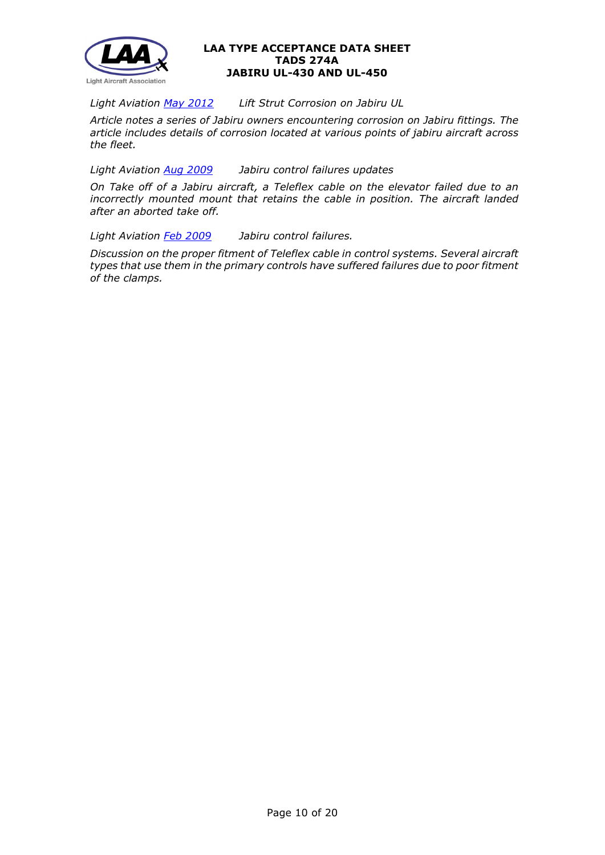

*Light Aviation [May 2012](http://www.lightaircraftassociation.co.uk/2012/Magazine/May/Safety%20Spot.pdf) Lift Strut Corrosion on Jabiru UL*

*Article notes a series of Jabiru owners encountering corrosion on Jabiru fittings. The article includes details of corrosion located at various points of jabiru aircraft across the fleet.* 

*Light Aviation [Aug 2009](http://www.lightaircraftassociation.co.uk/engineering/SafetyIssues/SafetySpotAug09.pdf) Jabiru control failures updates*

*On Take off of a Jabiru aircraft, a Teleflex cable on the elevator failed due to an incorrectly mounted mount that retains the cable in position. The aircraft landed after an aborted take off.*

*Light Aviation [Feb 2009](http://www.lightaircraftassociation.co.uk/engineering/SafetyIssues/SafetySpotFeb09.pdf) Jabiru control failures.*

*Discussion on the proper fitment of Teleflex cable in control systems. Several aircraft types that use them in the primary controls have suffered failures due to poor fitment of the clamps.*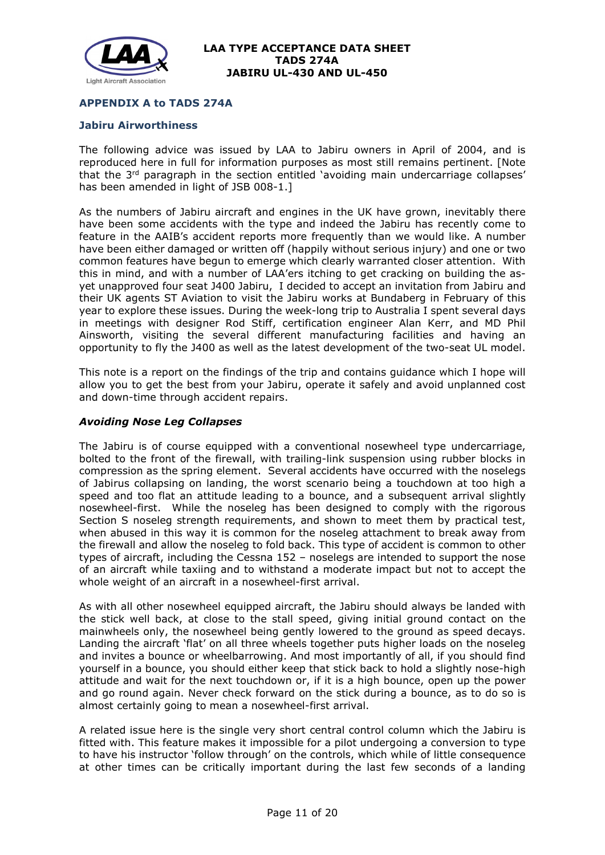

## **APPENDIX A to TADS 274A**

#### **Jabiru Airworthiness**

The following advice was issued by LAA to Jabiru owners in April of 2004, and is reproduced here in full for information purposes as most still remains pertinent. [Note that the  $3<sup>rd</sup>$  paragraph in the section entitled 'avoiding main undercarriage collapses' has been amended in light of JSB 008-1.1

As the numbers of Jabiru aircraft and engines in the UK have grown, inevitably there have been some accidents with the type and indeed the Jabiru has recently come to feature in the AAIB's accident reports more frequently than we would like. A number have been either damaged or written off (happily without serious injury) and one or two common features have begun to emerge which clearly warranted closer attention. With this in mind, and with a number of LAA'ers itching to get cracking on building the asyet unapproved four seat J400 Jabiru, I decided to accept an invitation from Jabiru and their UK agents ST Aviation to visit the Jabiru works at Bundaberg in February of this year to explore these issues. During the week-long trip to Australia I spent several days in meetings with designer Rod Stiff, certification engineer Alan Kerr, and MD Phil Ainsworth, visiting the several different manufacturing facilities and having an opportunity to fly the J400 as well as the latest development of the two-seat UL model.

This note is a report on the findings of the trip and contains guidance which I hope will allow you to get the best from your Jabiru, operate it safely and avoid unplanned cost and down-time through accident repairs.

#### *Avoiding Nose Leg Collapses*

The Jabiru is of course equipped with a conventional nosewheel type undercarriage, bolted to the front of the firewall, with trailing-link suspension using rubber blocks in compression as the spring element. Several accidents have occurred with the noselegs of Jabirus collapsing on landing, the worst scenario being a touchdown at too high a speed and too flat an attitude leading to a bounce, and a subsequent arrival slightly nosewheel-first. While the noseleg has been designed to comply with the rigorous Section S noseleg strength requirements, and shown to meet them by practical test, when abused in this way it is common for the noseleg attachment to break away from the firewall and allow the noseleg to fold back. This type of accident is common to other types of aircraft, including the Cessna 152 – noselegs are intended to support the nose of an aircraft while taxiing and to withstand a moderate impact but not to accept the whole weight of an aircraft in a nosewheel-first arrival.

As with all other nosewheel equipped aircraft, the Jabiru should always be landed with the stick well back, at close to the stall speed, giving initial ground contact on the mainwheels only, the nosewheel being gently lowered to the ground as speed decays. Landing the aircraft 'flat' on all three wheels together puts higher loads on the noseleg and invites a bounce or wheelbarrowing. And most importantly of all, if you should find yourself in a bounce, you should either keep that stick back to hold a slightly nose-high attitude and wait for the next touchdown or, if it is a high bounce, open up the power and go round again. Never check forward on the stick during a bounce, as to do so is almost certainly going to mean a nosewheel-first arrival.

A related issue here is the single very short central control column which the Jabiru is fitted with. This feature makes it impossible for a pilot undergoing a conversion to type to have his instructor 'follow through' on the controls, which while of little consequence at other times can be critically important during the last few seconds of a landing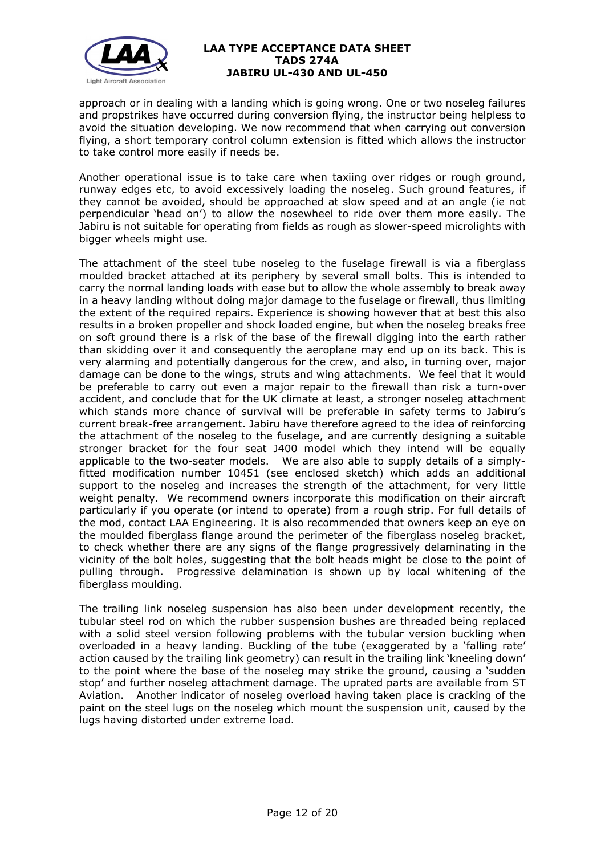

approach or in dealing with a landing which is going wrong. One or two noseleg failures and propstrikes have occurred during conversion flying, the instructor being helpless to avoid the situation developing. We now recommend that when carrying out conversion flying, a short temporary control column extension is fitted which allows the instructor to take control more easily if needs be.

Another operational issue is to take care when taxiing over ridges or rough ground, runway edges etc, to avoid excessively loading the noseleg. Such ground features, if they cannot be avoided, should be approached at slow speed and at an angle (ie not perpendicular 'head on') to allow the nosewheel to ride over them more easily. The Jabiru is not suitable for operating from fields as rough as slower-speed microlights with bigger wheels might use.

The attachment of the steel tube noseleg to the fuselage firewall is via a fiberglass moulded bracket attached at its periphery by several small bolts. This is intended to carry the normal landing loads with ease but to allow the whole assembly to break away in a heavy landing without doing major damage to the fuselage or firewall, thus limiting the extent of the required repairs. Experience is showing however that at best this also results in a broken propeller and shock loaded engine, but when the noseleg breaks free on soft ground there is a risk of the base of the firewall digging into the earth rather than skidding over it and consequently the aeroplane may end up on its back. This is very alarming and potentially dangerous for the crew, and also, in turning over, major damage can be done to the wings, struts and wing attachments. We feel that it would be preferable to carry out even a major repair to the firewall than risk a turn-over accident, and conclude that for the UK climate at least, a stronger noseleg attachment which stands more chance of survival will be preferable in safety terms to Jabiru's current break-free arrangement. Jabiru have therefore agreed to the idea of reinforcing the attachment of the noseleg to the fuselage, and are currently designing a suitable stronger bracket for the four seat J400 model which they intend will be equally applicable to the two-seater models. We are also able to supply details of a simplyfitted modification number 10451 (see enclosed sketch) which adds an additional support to the noseleg and increases the strength of the attachment, for very little weight penalty. We recommend owners incorporate this modification on their aircraft particularly if you operate (or intend to operate) from a rough strip. For full details of the mod, contact LAA Engineering. It is also recommended that owners keep an eye on the moulded fiberglass flange around the perimeter of the fiberglass noseleg bracket, to check whether there are any signs of the flange progressively delaminating in the vicinity of the bolt holes, suggesting that the bolt heads might be close to the point of pulling through. Progressive delamination is shown up by local whitening of the fiberglass moulding.

The trailing link noseleg suspension has also been under development recently, the tubular steel rod on which the rubber suspension bushes are threaded being replaced with a solid steel version following problems with the tubular version buckling when overloaded in a heavy landing. Buckling of the tube (exaggerated by a 'falling rate' action caused by the trailing link geometry) can result in the trailing link 'kneeling down' to the point where the base of the noseleg may strike the ground, causing a 'sudden stop' and further noseleg attachment damage. The uprated parts are available from ST Aviation. Another indicator of noseleg overload having taken place is cracking of the paint on the steel lugs on the noseleg which mount the suspension unit, caused by the lugs having distorted under extreme load.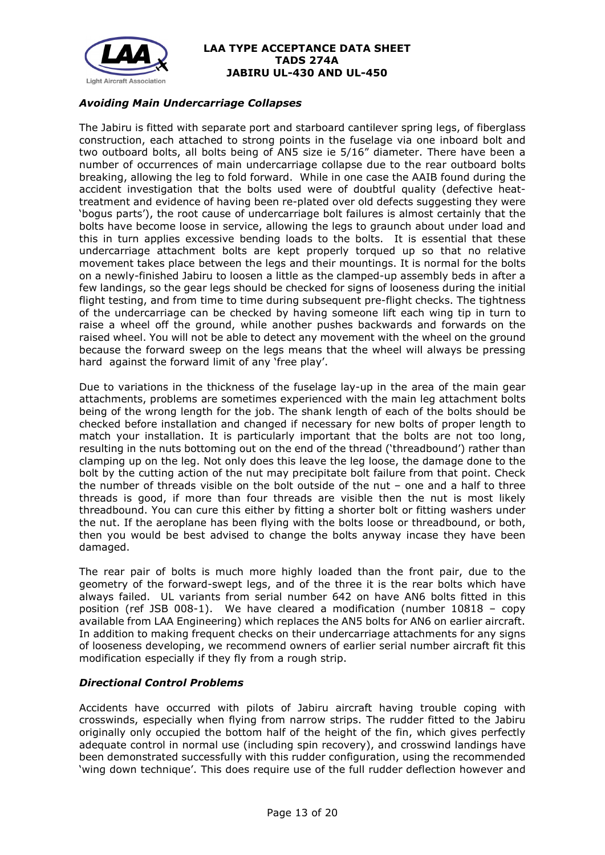

# *Avoiding Main Undercarriage Collapses*

The Jabiru is fitted with separate port and starboard cantilever spring legs, of fiberglass construction, each attached to strong points in the fuselage via one inboard bolt and two outboard bolts, all bolts being of AN5 size ie 5/16" diameter. There have been a number of occurrences of main undercarriage collapse due to the rear outboard bolts breaking, allowing the leg to fold forward. While in one case the AAIB found during the accident investigation that the bolts used were of doubtful quality (defective heattreatment and evidence of having been re-plated over old defects suggesting they were 'bogus parts'), the root cause of undercarriage bolt failures is almost certainly that the bolts have become loose in service, allowing the legs to graunch about under load and this in turn applies excessive bending loads to the bolts. It is essential that these undercarriage attachment bolts are kept properly torqued up so that no relative movement takes place between the legs and their mountings. It is normal for the bolts on a newly-finished Jabiru to loosen a little as the clamped-up assembly beds in after a few landings, so the gear legs should be checked for signs of looseness during the initial flight testing, and from time to time during subsequent pre-flight checks. The tightness of the undercarriage can be checked by having someone lift each wing tip in turn to raise a wheel off the ground, while another pushes backwards and forwards on the raised wheel. You will not be able to detect any movement with the wheel on the ground because the forward sweep on the legs means that the wheel will always be pressing hard against the forward limit of any 'free play'.

Due to variations in the thickness of the fuselage lay-up in the area of the main gear attachments, problems are sometimes experienced with the main leg attachment bolts being of the wrong length for the job. The shank length of each of the bolts should be checked before installation and changed if necessary for new bolts of proper length to match your installation. It is particularly important that the bolts are not too long, resulting in the nuts bottoming out on the end of the thread ('threadbound') rather than clamping up on the leg. Not only does this leave the leg loose, the damage done to the bolt by the cutting action of the nut may precipitate bolt failure from that point. Check the number of threads visible on the bolt outside of the nut – one and a half to three threads is good, if more than four threads are visible then the nut is most likely threadbound. You can cure this either by fitting a shorter bolt or fitting washers under the nut. If the aeroplane has been flying with the bolts loose or threadbound, or both, then you would be best advised to change the bolts anyway incase they have been damaged.

The rear pair of bolts is much more highly loaded than the front pair, due to the geometry of the forward-swept legs, and of the three it is the rear bolts which have always failed. UL variants from serial number 642 on have AN6 bolts fitted in this position (ref JSB 008-1). We have cleared a modification (number 10818 – copy available from LAA Engineering) which replaces the AN5 bolts for AN6 on earlier aircraft. In addition to making frequent checks on their undercarriage attachments for any signs of looseness developing, we recommend owners of earlier serial number aircraft fit this modification especially if they fly from a rough strip.

### *Directional Control Problems*

Accidents have occurred with pilots of Jabiru aircraft having trouble coping with crosswinds, especially when flying from narrow strips. The rudder fitted to the Jabiru originally only occupied the bottom half of the height of the fin, which gives perfectly adequate control in normal use (including spin recovery), and crosswind landings have been demonstrated successfully with this rudder configuration, using the recommended 'wing down technique'. This does require use of the full rudder deflection however and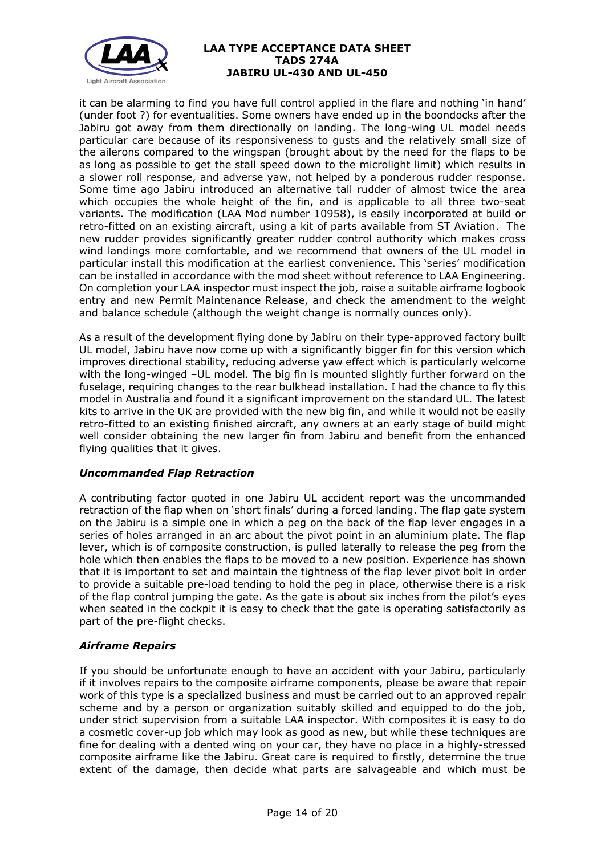

it can be alarming to find you have full control applied in the flare and nothing 'in hand' (under foot ?) for eventualities. Some owners have ended up in the boondocks after the Jabiru got away from them directionally on landing. The long-wing UL model needs particular care because of its responsiveness to gusts and the relatively small size of the ailerons compared to the wingspan (brought about by the need for the flaps to be as long as possible to get the stall speed down to the microlight limit) which results in a slower roll response, and adverse yaw, not helped by a ponderous rudder response. Some time ago Jabiru introduced an alternative tall rudder of almost twice the area which occupies the whole height of the fin, and is applicable to all three two-seat variants. The modification (LAA Mod number 10958), is easily incorporated at build or retro-fitted on an existing aircraft, using a kit of parts available from ST Aviation. The new rudder provides significantly greater rudder control authority which makes cross wind landings more comfortable, and we recommend that owners of the UL model in particular install this modification at the earliest convenience. This 'series' modification can be installed in accordance with the mod sheet without reference to LAA Engineering. On completion your LAA inspector must inspect the job, raise a suitable airframe logbook entry and new Permit Maintenance Release, and check the amendment to the weight and balance schedule (although the weight change is normally ounces only).

As a result of the development flying done by Jabiru on their type-approved factory built UL model, Jabiru have now come up with a significantly bigger fin for this version which improves directional stability, reducing adverse yaw effect which is particularly welcome with the long-winged –UL model. The big fin is mounted slightly further forward on the fuselage, requiring changes to the rear bulkhead installation. I had the chance to fly this model in Australia and found it a significant improvement on the standard UL. The latest kits to arrive in the UK are provided with the new big fin, and while it would not be easily retro-fitted to an existing finished aircraft, any owners at an early stage of build might well consider obtaining the new larger fin from Jabiru and benefit from the enhanced flying qualities that it gives.

# *Uncommanded Flap Retraction*

A contributing factor quoted in one Jabiru UL accident report was the uncommanded retraction of the flap when on 'short finals' during a forced landing. The flap gate system on the Jabiru is a simple one in which a peg on the back of the flap lever engages in a series of holes arranged in an arc about the pivot point in an aluminium plate. The flap lever, which is of composite construction, is pulled laterally to release the peg from the hole which then enables the flaps to be moved to a new position. Experience has shown that it is important to set and maintain the tightness of the flap lever pivot bolt in order to provide a suitable pre-load tending to hold the peg in place, otherwise there is a risk of the flap control jumping the gate. As the gate is about six inches from the pilot's eyes when seated in the cockpit it is easy to check that the gate is operating satisfactorily as part of the pre-flight checks.

### *Airframe Repairs*

If you should be unfortunate enough to have an accident with your Jabiru, particularly if it involves repairs to the composite airframe components, please be aware that repair work of this type is a specialized business and must be carried out to an approved repair scheme and by a person or organization suitably skilled and equipped to do the job, under strict supervision from a suitable LAA inspector. With composites it is easy to do a cosmetic cover-up job which may look as good as new, but while these techniques are fine for dealing with a dented wing on your car, they have no place in a highly-stressed composite airframe like the Jabiru. Great care is required to firstly, determine the true extent of the damage, then decide what parts are salvageable and which must be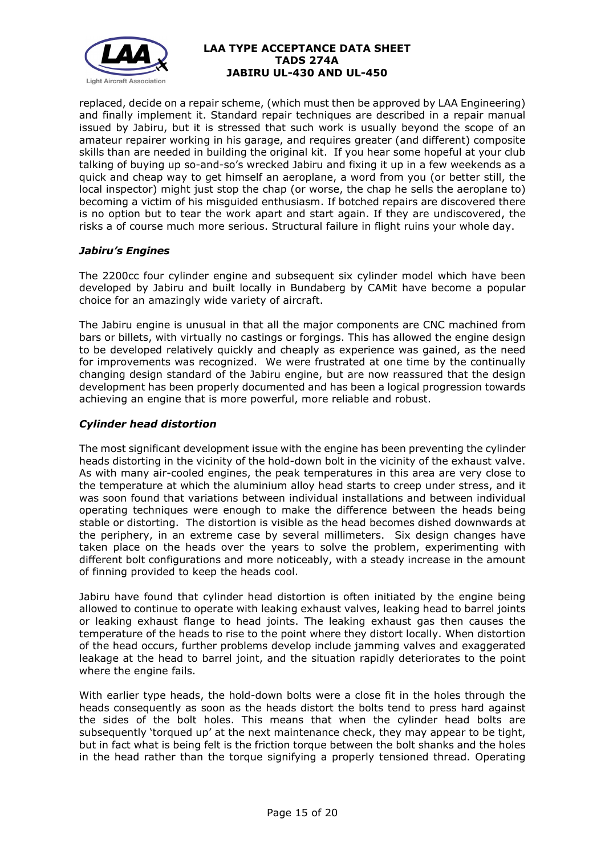

replaced, decide on a repair scheme, (which must then be approved by LAA Engineering) and finally implement it. Standard repair techniques are described in a repair manual issued by Jabiru, but it is stressed that such work is usually beyond the scope of an amateur repairer working in his garage, and requires greater (and different) composite skills than are needed in building the original kit. If you hear some hopeful at your club talking of buying up so-and-so's wrecked Jabiru and fixing it up in a few weekends as a quick and cheap way to get himself an aeroplane, a word from you (or better still, the local inspector) might just stop the chap (or worse, the chap he sells the aeroplane to) becoming a victim of his misguided enthusiasm. If botched repairs are discovered there is no option but to tear the work apart and start again. If they are undiscovered, the risks a of course much more serious. Structural failure in flight ruins your whole day.

# *Jabiru's Engines*

The 2200cc four cylinder engine and subsequent six cylinder model which have been developed by Jabiru and built locally in Bundaberg by CAMit have become a popular choice for an amazingly wide variety of aircraft.

The Jabiru engine is unusual in that all the major components are CNC machined from bars or billets, with virtually no castings or forgings. This has allowed the engine design to be developed relatively quickly and cheaply as experience was gained, as the need for improvements was recognized. We were frustrated at one time by the continually changing design standard of the Jabiru engine, but are now reassured that the design development has been properly documented and has been a logical progression towards achieving an engine that is more powerful, more reliable and robust.

## *Cylinder head distortion*

The most significant development issue with the engine has been preventing the cylinder heads distorting in the vicinity of the hold-down bolt in the vicinity of the exhaust valve. As with many air-cooled engines, the peak temperatures in this area are very close to the temperature at which the aluminium alloy head starts to creep under stress, and it was soon found that variations between individual installations and between individual operating techniques were enough to make the difference between the heads being stable or distorting. The distortion is visible as the head becomes dished downwards at the periphery, in an extreme case by several millimeters. Six design changes have taken place on the heads over the years to solve the problem, experimenting with different bolt configurations and more noticeably, with a steady increase in the amount of finning provided to keep the heads cool.

Jabiru have found that cylinder head distortion is often initiated by the engine being allowed to continue to operate with leaking exhaust valves, leaking head to barrel joints or leaking exhaust flange to head joints. The leaking exhaust gas then causes the temperature of the heads to rise to the point where they distort locally. When distortion of the head occurs, further problems develop include jamming valves and exaggerated leakage at the head to barrel joint, and the situation rapidly deteriorates to the point where the engine fails.

With earlier type heads, the hold-down bolts were a close fit in the holes through the heads consequently as soon as the heads distort the bolts tend to press hard against the sides of the bolt holes. This means that when the cylinder head bolts are subsequently 'torqued up' at the next maintenance check, they may appear to be tight, but in fact what is being felt is the friction torque between the bolt shanks and the holes in the head rather than the torque signifying a properly tensioned thread. Operating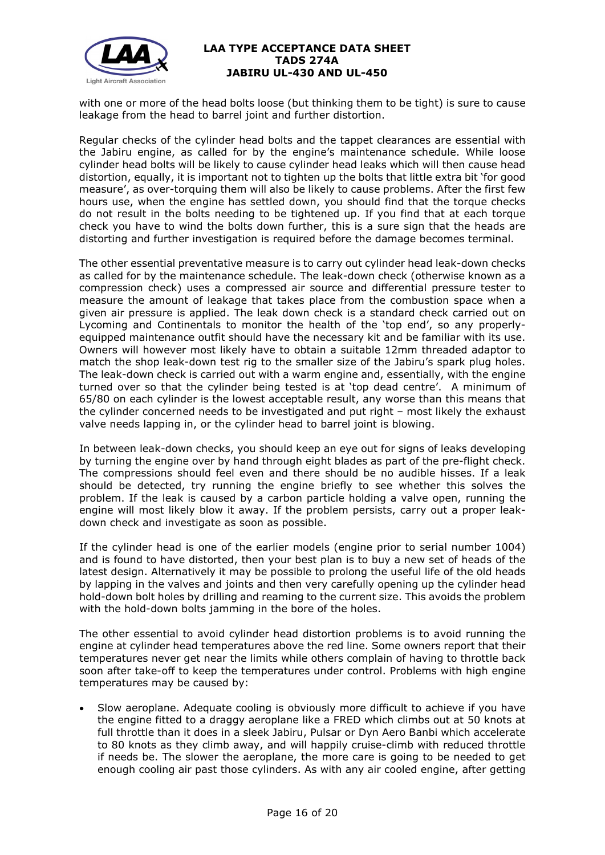

with one or more of the head bolts loose (but thinking them to be tight) is sure to cause leakage from the head to barrel joint and further distortion.

Regular checks of the cylinder head bolts and the tappet clearances are essential with the Jabiru engine, as called for by the engine's maintenance schedule. While loose cylinder head bolts will be likely to cause cylinder head leaks which will then cause head distortion, equally, it is important not to tighten up the bolts that little extra bit 'for good measure', as over-torquing them will also be likely to cause problems. After the first few hours use, when the engine has settled down, you should find that the torque checks do not result in the bolts needing to be tightened up. If you find that at each torque check you have to wind the bolts down further, this is a sure sign that the heads are distorting and further investigation is required before the damage becomes terminal.

The other essential preventative measure is to carry out cylinder head leak-down checks as called for by the maintenance schedule. The leak-down check (otherwise known as a compression check) uses a compressed air source and differential pressure tester to measure the amount of leakage that takes place from the combustion space when a given air pressure is applied. The leak down check is a standard check carried out on Lycoming and Continentals to monitor the health of the 'top end', so any properlyequipped maintenance outfit should have the necessary kit and be familiar with its use. Owners will however most likely have to obtain a suitable 12mm threaded adaptor to match the shop leak-down test rig to the smaller size of the Jabiru's spark plug holes. The leak-down check is carried out with a warm engine and, essentially, with the engine turned over so that the cylinder being tested is at 'top dead centre'. A minimum of 65/80 on each cylinder is the lowest acceptable result, any worse than this means that the cylinder concerned needs to be investigated and put right – most likely the exhaust valve needs lapping in, or the cylinder head to barrel joint is blowing.

In between leak-down checks, you should keep an eye out for signs of leaks developing by turning the engine over by hand through eight blades as part of the pre-flight check. The compressions should feel even and there should be no audible hisses. If a leak should be detected, try running the engine briefly to see whether this solves the problem. If the leak is caused by a carbon particle holding a valve open, running the engine will most likely blow it away. If the problem persists, carry out a proper leakdown check and investigate as soon as possible.

If the cylinder head is one of the earlier models (engine prior to serial number 1004) and is found to have distorted, then your best plan is to buy a new set of heads of the latest design. Alternatively it may be possible to prolong the useful life of the old heads by lapping in the valves and joints and then very carefully opening up the cylinder head hold-down bolt holes by drilling and reaming to the current size. This avoids the problem with the hold-down bolts jamming in the bore of the holes.

The other essential to avoid cylinder head distortion problems is to avoid running the engine at cylinder head temperatures above the red line. Some owners report that their temperatures never get near the limits while others complain of having to throttle back soon after take-off to keep the temperatures under control. Problems with high engine temperatures may be caused by:

• Slow aeroplane. Adequate cooling is obviously more difficult to achieve if you have the engine fitted to a draggy aeroplane like a FRED which climbs out at 50 knots at full throttle than it does in a sleek Jabiru, Pulsar or Dyn Aero Banbi which accelerate to 80 knots as they climb away, and will happily cruise-climb with reduced throttle if needs be. The slower the aeroplane, the more care is going to be needed to get enough cooling air past those cylinders. As with any air cooled engine, after getting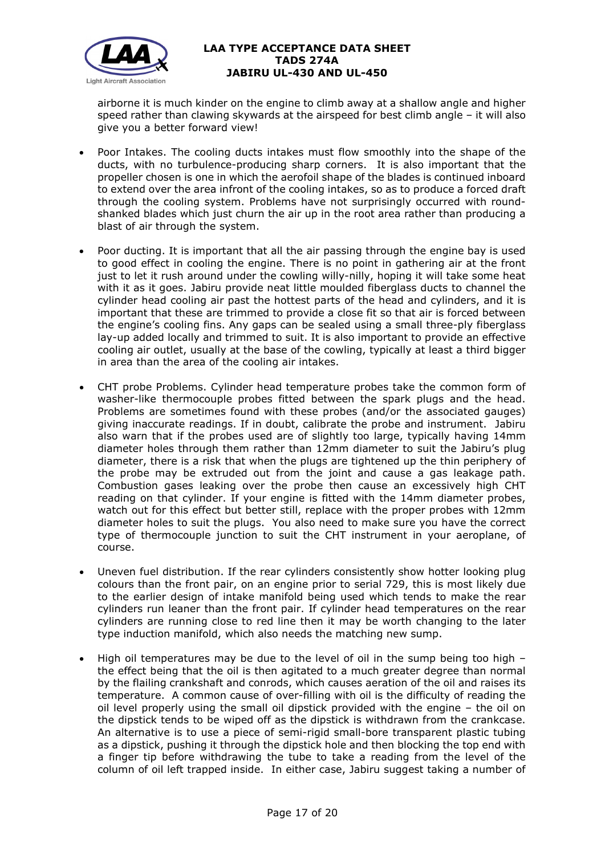

airborne it is much kinder on the engine to climb away at a shallow angle and higher speed rather than clawing skywards at the airspeed for best climb angle – it will also give you a better forward view!

- Poor Intakes. The cooling ducts intakes must flow smoothly into the shape of the ducts, with no turbulence-producing sharp corners. It is also important that the propeller chosen is one in which the aerofoil shape of the blades is continued inboard to extend over the area infront of the cooling intakes, so as to produce a forced draft through the cooling system. Problems have not surprisingly occurred with roundshanked blades which just churn the air up in the root area rather than producing a blast of air through the system.
- Poor ducting. It is important that all the air passing through the engine bay is used to good effect in cooling the engine. There is no point in gathering air at the front just to let it rush around under the cowling willy-nilly, hoping it will take some heat with it as it goes. Jabiru provide neat little moulded fiberglass ducts to channel the cylinder head cooling air past the hottest parts of the head and cylinders, and it is important that these are trimmed to provide a close fit so that air is forced between the engine's cooling fins. Any gaps can be sealed using a small three-ply fiberglass lay-up added locally and trimmed to suit. It is also important to provide an effective cooling air outlet, usually at the base of the cowling, typically at least a third bigger in area than the area of the cooling air intakes.
- CHT probe Problems. Cylinder head temperature probes take the common form of washer-like thermocouple probes fitted between the spark plugs and the head. Problems are sometimes found with these probes (and/or the associated gauges) giving inaccurate readings. If in doubt, calibrate the probe and instrument. Jabiru also warn that if the probes used are of slightly too large, typically having 14mm diameter holes through them rather than 12mm diameter to suit the Jabiru's plug diameter, there is a risk that when the plugs are tightened up the thin periphery of the probe may be extruded out from the joint and cause a gas leakage path. Combustion gases leaking over the probe then cause an excessively high CHT reading on that cylinder. If your engine is fitted with the 14mm diameter probes, watch out for this effect but better still, replace with the proper probes with 12mm diameter holes to suit the plugs. You also need to make sure you have the correct type of thermocouple junction to suit the CHT instrument in your aeroplane, of course.
- Uneven fuel distribution. If the rear cylinders consistently show hotter looking plug colours than the front pair, on an engine prior to serial 729, this is most likely due to the earlier design of intake manifold being used which tends to make the rear cylinders run leaner than the front pair. If cylinder head temperatures on the rear cylinders are running close to red line then it may be worth changing to the later type induction manifold, which also needs the matching new sump.
- High oil temperatures may be due to the level of oil in the sump being too high the effect being that the oil is then agitated to a much greater degree than normal by the flailing crankshaft and conrods, which causes aeration of the oil and raises its temperature. A common cause of over-filling with oil is the difficulty of reading the oil level properly using the small oil dipstick provided with the engine – the oil on the dipstick tends to be wiped off as the dipstick is withdrawn from the crankcase. An alternative is to use a piece of semi-rigid small-bore transparent plastic tubing as a dipstick, pushing it through the dipstick hole and then blocking the top end with a finger tip before withdrawing the tube to take a reading from the level of the column of oil left trapped inside. In either case, Jabiru suggest taking a number of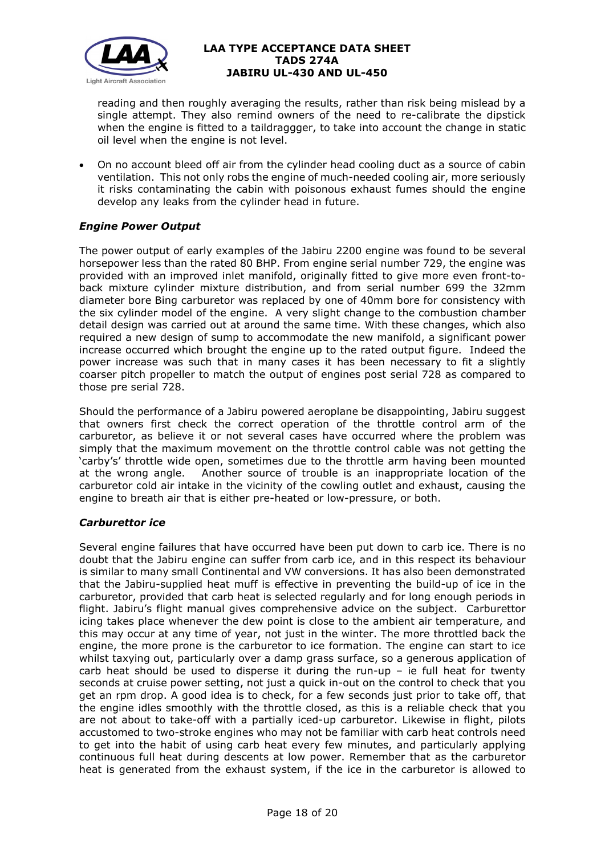

reading and then roughly averaging the results, rather than risk being mislead by a single attempt. They also remind owners of the need to re-calibrate the dipstick when the engine is fitted to a taildraggger, to take into account the change in static oil level when the engine is not level.

• On no account bleed off air from the cylinder head cooling duct as a source of cabin ventilation. This not only robs the engine of much-needed cooling air, more seriously it risks contaminating the cabin with poisonous exhaust fumes should the engine develop any leaks from the cylinder head in future.

# *Engine Power Output*

The power output of early examples of the Jabiru 2200 engine was found to be several horsepower less than the rated 80 BHP. From engine serial number 729, the engine was provided with an improved inlet manifold, originally fitted to give more even front-toback mixture cylinder mixture distribution, and from serial number 699 the 32mm diameter bore Bing carburetor was replaced by one of 40mm bore for consistency with the six cylinder model of the engine. A very slight change to the combustion chamber detail design was carried out at around the same time. With these changes, which also required a new design of sump to accommodate the new manifold, a significant power increase occurred which brought the engine up to the rated output figure. Indeed the power increase was such that in many cases it has been necessary to fit a slightly coarser pitch propeller to match the output of engines post serial 728 as compared to those pre serial 728.

Should the performance of a Jabiru powered aeroplane be disappointing, Jabiru suggest that owners first check the correct operation of the throttle control arm of the carburetor, as believe it or not several cases have occurred where the problem was simply that the maximum movement on the throttle control cable was not getting the 'carby's' throttle wide open, sometimes due to the throttle arm having been mounted at the wrong angle. Another source of trouble is an inappropriate location of the carburetor cold air intake in the vicinity of the cowling outlet and exhaust, causing the engine to breath air that is either pre-heated or low-pressure, or both.

### *Carburettor ice*

Several engine failures that have occurred have been put down to carb ice. There is no doubt that the Jabiru engine can suffer from carb ice, and in this respect its behaviour is similar to many small Continental and VW conversions. It has also been demonstrated that the Jabiru-supplied heat muff is effective in preventing the build-up of ice in the carburetor, provided that carb heat is selected regularly and for long enough periods in flight. Jabiru's flight manual gives comprehensive advice on the subject. Carburettor icing takes place whenever the dew point is close to the ambient air temperature, and this may occur at any time of year, not just in the winter. The more throttled back the engine, the more prone is the carburetor to ice formation. The engine can start to ice whilst taxying out, particularly over a damp grass surface, so a generous application of carb heat should be used to disperse it during the run-up  $-$  ie full heat for twenty seconds at cruise power setting, not just a quick in-out on the control to check that you get an rpm drop. A good idea is to check, for a few seconds just prior to take off, that the engine idles smoothly with the throttle closed, as this is a reliable check that you are not about to take-off with a partially iced-up carburetor. Likewise in flight, pilots accustomed to two-stroke engines who may not be familiar with carb heat controls need to get into the habit of using carb heat every few minutes, and particularly applying continuous full heat during descents at low power. Remember that as the carburetor heat is generated from the exhaust system, if the ice in the carburetor is allowed to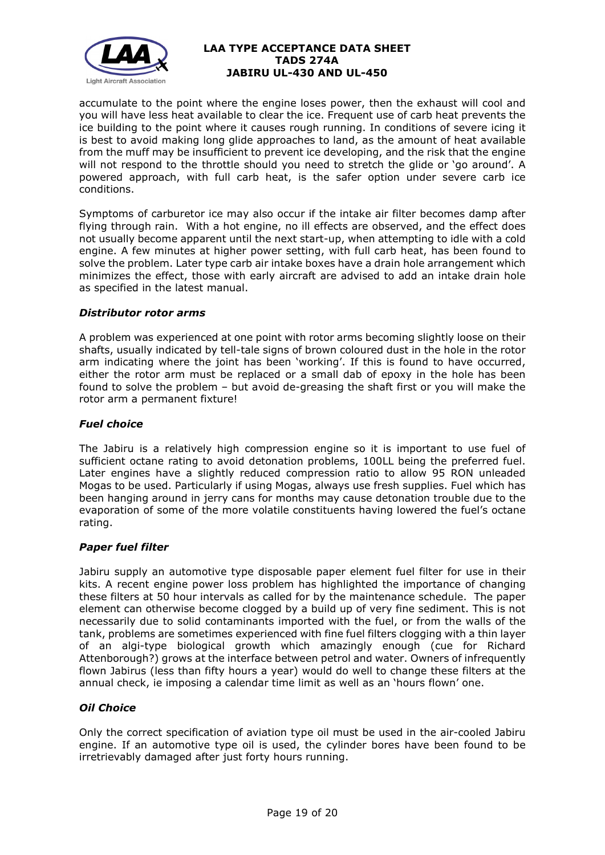

accumulate to the point where the engine loses power, then the exhaust will cool and you will have less heat available to clear the ice. Frequent use of carb heat prevents the ice building to the point where it causes rough running. In conditions of severe icing it is best to avoid making long glide approaches to land, as the amount of heat available from the muff may be insufficient to prevent ice developing, and the risk that the engine will not respond to the throttle should you need to stretch the glide or 'go around'. A powered approach, with full carb heat, is the safer option under severe carb ice conditions.

Symptoms of carburetor ice may also occur if the intake air filter becomes damp after flying through rain. With a hot engine, no ill effects are observed, and the effect does not usually become apparent until the next start-up, when attempting to idle with a cold engine. A few minutes at higher power setting, with full carb heat, has been found to solve the problem. Later type carb air intake boxes have a drain hole arrangement which minimizes the effect, those with early aircraft are advised to add an intake drain hole as specified in the latest manual.

## *Distributor rotor arms*

A problem was experienced at one point with rotor arms becoming slightly loose on their shafts, usually indicated by tell-tale signs of brown coloured dust in the hole in the rotor arm indicating where the joint has been 'working'. If this is found to have occurred, either the rotor arm must be replaced or a small dab of epoxy in the hole has been found to solve the problem – but avoid de-greasing the shaft first or you will make the rotor arm a permanent fixture!

# *Fuel choice*

The Jabiru is a relatively high compression engine so it is important to use fuel of sufficient octane rating to avoid detonation problems, 100LL being the preferred fuel. Later engines have a slightly reduced compression ratio to allow 95 RON unleaded Mogas to be used. Particularly if using Mogas, always use fresh supplies. Fuel which has been hanging around in jerry cans for months may cause detonation trouble due to the evaporation of some of the more volatile constituents having lowered the fuel's octane rating.

### *Paper fuel filter*

Jabiru supply an automotive type disposable paper element fuel filter for use in their kits. A recent engine power loss problem has highlighted the importance of changing these filters at 50 hour intervals as called for by the maintenance schedule. The paper element can otherwise become clogged by a build up of very fine sediment. This is not necessarily due to solid contaminants imported with the fuel, or from the walls of the tank, problems are sometimes experienced with fine fuel filters clogging with a thin layer of an algi-type biological growth which amazingly enough (cue for Richard Attenborough?) grows at the interface between petrol and water. Owners of infrequently flown Jabirus (less than fifty hours a year) would do well to change these filters at the annual check, ie imposing a calendar time limit as well as an 'hours flown' one.

### *Oil Choice*

Only the correct specification of aviation type oil must be used in the air-cooled Jabiru engine. If an automotive type oil is used, the cylinder bores have been found to be irretrievably damaged after just forty hours running.